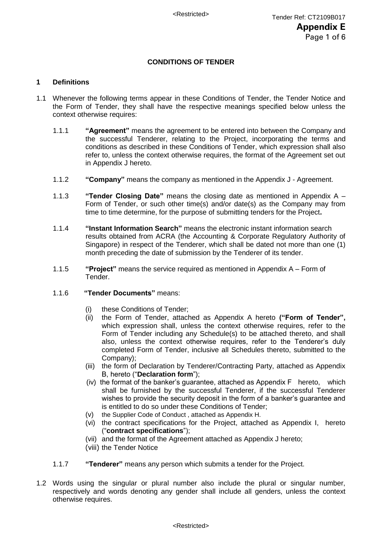# **CONDITIONS OF TENDER**

# **1 Definitions**

- 1.1 Whenever the following terms appear in these Conditions of Tender, the Tender Notice and the Form of Tender, they shall have the respective meanings specified below unless the context otherwise requires:
	- 1.1.1 **"Agreement"** means the agreement to be entered into between the Company and the successful Tenderer, relating to the Project, incorporating the terms and conditions as described in these Conditions of Tender, which expression shall also refer to, unless the context otherwise requires, the format of the Agreement set out in Appendix J hereto.
	- 1.1.2 **"Company"** means the company as mentioned in the Appendix J Agreement.
	- 1.1.3 **"Tender Closing Date"** means the closing date as mentioned in Appendix A Form of Tender, or such other time(s) and/or date(s) as the Company may from time to time determine, for the purpose of submitting tenders for the Project**.**
	- 1.1.4 **"Instant Information Search"** means the electronic instant information search results obtained from ACRA (the Accounting & Corporate Regulatory Authority of Singapore) in respect of the Tenderer, which shall be dated not more than one (1) month preceding the date of submission by the Tenderer of its tender.
	- 1.1.5 **"Project"** means the service required as mentioned in Appendix A Form of Tender.
	- 1.1.6 **"Tender Documents"** means:
		- (i) these Conditions of Tender;
		- (ii) the Form of Tender, attached as Appendix A hereto **("Form of Tender",** which expression shall, unless the context otherwise requires, refer to the Form of Tender including any Schedule(s) to be attached thereto, and shall also, unless the context otherwise requires, refer to the Tenderer's duly completed Form of Tender, inclusive all Schedules thereto, submitted to the Company);
		- (iii) the form of Declaration by Tenderer/Contracting Party, attached as Appendix B, hereto ("**Declaration form**");
		- (iv) the format of the banker's guarantee, attached as Appendix F hereto, which shall be furnished by the successful Tenderer, if the successful Tenderer wishes to provide the security deposit in the form of a banker's guarantee and is entitled to do so under these Conditions of Tender;
		- (v) the Supplier Code of Conduct , attached as Appendix H.
		- (vi) the contract specifications for the Project, attached as Appendix I, hereto ("**contract specifications**");
		- (vii) and the format of the Agreement attached as Appendix J hereto;
		- (viii) the Tender Notice
	- 1.1.7 **"Tenderer"** means any person which submits a tender for the Project.
- 1.2 Words using the singular or plural number also include the plural or singular number, respectively and words denoting any gender shall include all genders, unless the context otherwise requires.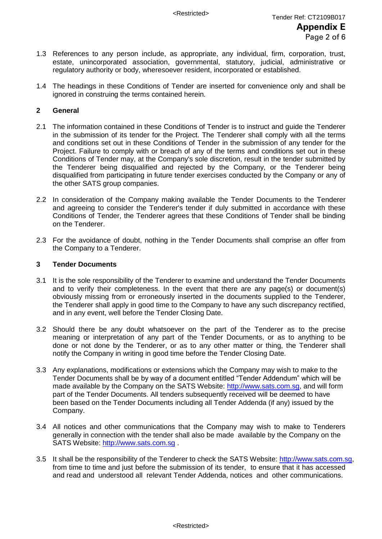- 1.3 References to any person include, as appropriate, any individual, firm, corporation, trust, estate, unincorporated association, governmental, statutory, judicial, administrative or regulatory authority or body, wheresoever resident, incorporated or established.
- 1.4 The headings in these Conditions of Tender are inserted for convenience only and shall be ignored in construing the terms contained herein.

# **2 General**

- 2.1 The information contained in these Conditions of Tender is to instruct and guide the Tenderer in the submission of its tender for the Project. The Tenderer shall comply with all the terms and conditions set out in these Conditions of Tender in the submission of any tender for the Project. Failure to comply with or breach of any of the terms and conditions set out in these Conditions of Tender may, at the Company's sole discretion, result in the tender submitted by the Tenderer being disqualified and rejected by the Company, or the Tenderer being disqualified from participating in future tender exercises conducted by the Company or any of the other SATS group companies.
- 2.2 In consideration of the Company making available the Tender Documents to the Tenderer and agreeing to consider the Tenderer's tender if duly submitted in accordance with these Conditions of Tender, the Tenderer agrees that these Conditions of Tender shall be binding on the Tenderer.
- 2.3 For the avoidance of doubt, nothing in the Tender Documents shall comprise an offer from the Company to a Tenderer.

#### **3 Tender Documents**

- 3.1 It is the sole responsibility of the Tenderer to examine and understand the Tender Documents and to verify their completeness. In the event that there are any page(s) or document(s) obviously missing from or erroneously inserted in the documents supplied to the Tenderer, the Tenderer shall apply in good time to the Company to have any such discrepancy rectified, and in any event, well before the Tender Closing Date.
- 3.2 Should there be any doubt whatsoever on the part of the Tenderer as to the precise meaning or interpretation of any part of the Tender Documents, or as to anything to be done or not done by the Tenderer, or as to any other matter or thing, the Tenderer shall notify the Company in writing in good time before the Tender Closing Date.
- 3.3 Any explanations, modifications or extensions which the Company may wish to make to the Tender Documents shall be by way of a document entitled "Tender Addendum" which will be made available by the Company on the SATS Website: [http://www.sats.com.sg,](http://www.sats.com.sg/) and will form part of the Tender Documents. All tenders subsequently received will be deemed to have been based on the Tender Documents including all Tender Addenda (if any) issued by the Company.
- 3.4 All notices and other communications that the Company may wish to make to Tenderers generally in connection with the tender shall also be made available by the Company on the SATS Website: [http://www.sats.com.sg](http://www.sats.com.sg/).
- 3.5 It shall be the responsibility of the Tenderer to check the SATS Website: http://www.sats.com.sg, from time to time and just before the submission of its tender, to ensure that it has accessed and read and understood all relevant Tender Addenda, notices and other communications.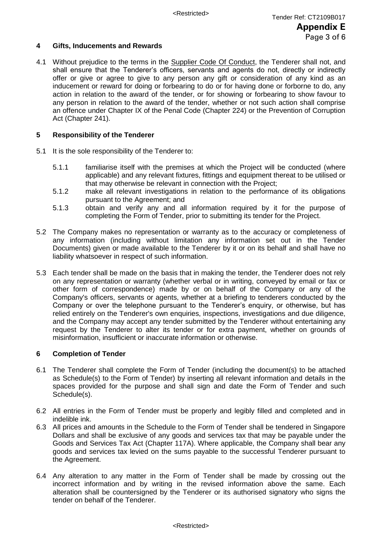# **4 Gifts, Inducements and Rewards**

4.1 Without prejudice to the terms in the Supplier Code Of Conduct, the Tenderer shall not, and shall ensure that the Tenderer's officers, servants and agents do not, directly or indirectly offer or give or agree to give to any person any gift or consideration of any kind as an inducement or reward for doing or forbearing to do or for having done or forborne to do, any action in relation to the award of the tender, or for showing or forbearing to show favour to any person in relation to the award of the tender, whether or not such action shall comprise an offence under Chapter IX of the Penal Code (Chapter 224) or the Prevention of Corruption Act (Chapter 241).

# **5 Responsibility of the Tenderer**

- 5.1 It is the sole responsibility of the Tenderer to:
	- 5.1.1 familiarise itself with the premises at which the Project will be conducted (where applicable) and any relevant fixtures, fittings and equipment thereat to be utilised or that may otherwise be relevant in connection with the Project;
	- 5.1.2 make all relevant investigations in relation to the performance of its obligations pursuant to the Agreement; and
	- 5.1.3 obtain and verify any and all information required by it for the purpose of completing the Form of Tender, prior to submitting its tender for the Project.
- 5.2 The Company makes no representation or warranty as to the accuracy or completeness of any information (including without limitation any information set out in the Tender Documents) given or made available to the Tenderer by it or on its behalf and shall have no liability whatsoever in respect of such information.
- 5.3 Each tender shall be made on the basis that in making the tender, the Tenderer does not rely on any representation or warranty (whether verbal or in writing, conveyed by email or fax or other form of correspondence) made by or on behalf of the Company or any of the Company's officers, servants or agents, whether at a briefing to tenderers conducted by the Company or over the telephone pursuant to the Tenderer's enquiry, or otherwise, but has relied entirely on the Tenderer's own enquiries, inspections, investigations and due diligence, and the Company may accept any tender submitted by the Tenderer without entertaining any request by the Tenderer to alter its tender or for extra payment, whether on grounds of misinformation, insufficient or inaccurate information or otherwise*.*

# **6 Completion of Tender**

- 6.1 The Tenderer shall complete the Form of Tender (including the document(s) to be attached as Schedule(s) to the Form of Tender) by inserting all relevant information and details in the spaces provided for the purpose and shall sign and date the Form of Tender and such Schedule(s).
- 6.2 All entries in the Form of Tender must be properly and legibly filled and completed and in indelible ink.
- 6.3 All prices and amounts in the Schedule to the Form of Tender shall be tendered in Singapore Dollars and shall be exclusive of any goods and services tax that may be payable under the Goods and Services Tax Act (Chapter 117A). Where applicable, the Company shall bear any goods and services tax levied on the sums payable to the successful Tenderer pursuant to the Agreement.
- 6.4 Any alteration to any matter in the Form of Tender shall be made by crossing out the incorrect information and by writing in the revised information above the same. Each alteration shall be countersigned by the Tenderer or its authorised signatory who signs the tender on behalf of the Tenderer.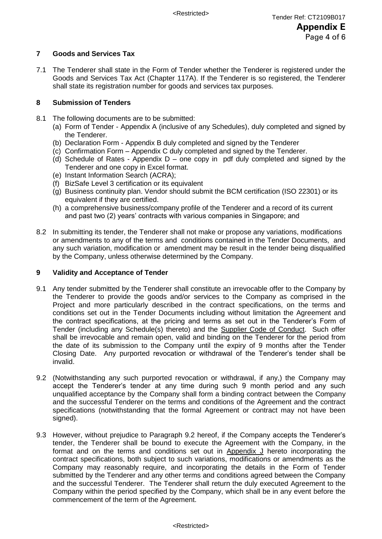# **7 Goods and Services Tax**

7.1 The Tenderer shall state in the Form of Tender whether the Tenderer is registered under the Goods and Services Tax Act (Chapter 117A). If the Tenderer is so registered, the Tenderer shall state its registration number for goods and services tax purposes.

# **8 Submission of Tenders**

- 8.1 The following documents are to be submitted:
	- (a) Form of Tender Appendix A (inclusive of any Schedules), duly completed and signed by the Tenderer.
	- (b) Declaration Form Appendix B duly completed and signed by the Tenderer
	- (c) Confirmation Form Appendix C duly completed and signed by the Tenderer.
	- (d) Schedule of Rates Appendix  $D$  one copy in pdf duly completed and signed by the Tenderer and one copy in Excel format.
	- (e) Instant Information Search (ACRA);
	- (f) BizSafe Level 3 certification or its equivalent
	- (g) Business continuity plan. Vendor should submit the BCM certification (ISO 22301) or its equivalent if they are certified.
	- (h) a comprehensive business/company profile of the Tenderer and a record of its current and past two (2) years' contracts with various companies in Singapore; and
- 8.2 In submitting its tender, the Tenderer shall not make or propose any variations, modifications or amendments to any of the terms and conditions contained in the Tender Documents, and any such variation, modification or amendment may be result in the tender being disqualified by the Company, unless otherwise determined by the Company.

# **9 Validity and Acceptance of Tender**

- 9.1 Any tender submitted by the Tenderer shall constitute an irrevocable offer to the Company by the Tenderer to provide the goods and/or services to the Company as comprised in the Project and more particularly described in the contract specifications, on the terms and conditions set out in the Tender Documents including without limitation the Agreement and the contract specifications, at the pricing and terms as set out in the Tenderer's Form of Tender (including any Schedule(s) thereto) and the Supplier Code of Conduct. Such offer shall be irrevocable and remain open, valid and binding on the Tenderer for the period from the date of its submission to the Company until the expiry of 9 months after the Tender Closing Date. Any purported revocation or withdrawal of the Tenderer's tender shall be invalid.
- 9.2 (Notwithstanding any such purported revocation or withdrawal, if any,) the Company may accept the Tenderer's tender at any time during such 9 month period and any such unqualified acceptance by the Company shall form a binding contract between the Company and the successful Tenderer on the terms and conditions of the Agreement and the contract specifications (notwithstanding that the formal Agreement or contract may not have been signed).
- 9.3 However, without prejudice to Paragraph 9.2 hereof, if the Company accepts the Tenderer's tender, the Tenderer shall be bound to execute the Agreement with the Company, in the format and on the terms and conditions set out in Appendix J hereto incorporating the contract specifications, both subject to such variations, modifications or amendments as the Company may reasonably require, and incorporating the details in the Form of Tender submitted by the Tenderer and any other terms and conditions agreed between the Company and the successful Tenderer. The Tenderer shall return the duly executed Agreement to the Company within the period specified by the Company, which shall be in any event before the commencement of the term of the Agreement.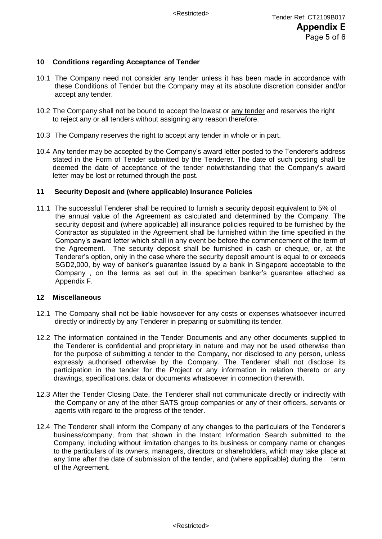# **10 Conditions regarding Acceptance of Tender**

- 10.1 The Company need not consider any tender unless it has been made in accordance with these Conditions of Tender but the Company may at its absolute discretion consider and/or accept any tender.
- 10.2 The Company shall not be bound to accept the lowest or any tender and reserves the right to reject any or all tenders without assigning any reason therefore.
- 10.3 The Company reserves the right to accept any tender in whole or in part.
- 10.4 Any tender may be accepted by the Company's award letter posted to the Tenderer's address stated in the Form of Tender submitted by the Tenderer. The date of such posting shall be deemed the date of acceptance of the tender notwithstanding that the Company's award letter may be lost or returned through the post.

#### **11 Security Deposit and (where applicable) Insurance Policies**

11.1 The successful Tenderer shall be required to furnish a security deposit equivalent to 5% of the annual value of the Agreement as calculated and determined by the Company. The security deposit and (where applicable) all insurance policies required to be furnished by the Contractor as stipulated in the Agreement shall be furnished within the time specified in the Company's award letter which shall in any event be before the commencement of the term of the Agreement. The security deposit shall be furnished in cash or cheque, or, at the Tenderer's option, only in the case where the security deposit amount is equal to or exceeds SGD2,000, by way of banker's guarantee issued by a bank in Singapore acceptable to the Company , on the terms as set out in the specimen banker's guarantee attached as Appendix F.

# **12 Miscellaneous**

- 12.1 The Company shall not be liable howsoever for any costs or expenses whatsoever incurred directly or indirectly by any Tenderer in preparing or submitting its tender.
- 12.2 The information contained in the Tender Documents and any other documents supplied to the Tenderer is confidential and proprietary in nature and may not be used otherwise than for the purpose of submitting a tender to the Company, nor disclosed to any person, unless expressly authorised otherwise by the Company. The Tenderer shall not disclose its participation in the tender for the Project or any information in relation thereto or any drawings, specifications, data or documents whatsoever in connection therewith.
- 12.3 After the Tender Closing Date, the Tenderer shall not communicate directly or indirectly with the Company or any of the other SATS group companies or any of their officers, servants or agents with regard to the progress of the tender.
- 12.4 The Tenderer shall inform the Company of any changes to the particulars of the Tenderer's business/company, from that shown in the Instant Information Search submitted to the Company, including without limitation changes to its business or company name or changes to the particulars of its owners, managers, directors or shareholders, which may take place at any time after the date of submission of the tender, and (where applicable) during the term of the Agreement.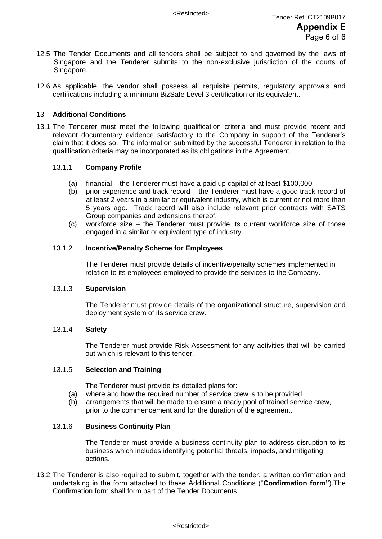- 12.5 The Tender Documents and all tenders shall be subject to and governed by the laws of Singapore and the Tenderer submits to the non-exclusive jurisdiction of the courts of Singapore.
- 12.6 As applicable, the vendor shall possess all requisite permits, regulatory approvals and certifications including a minimum BizSafe Level 3 certification or its equivalent.

# 13 **Additional Conditions**

13.1 The Tenderer must meet the following qualification criteria and must provide recent and relevant documentary evidence satisfactory to the Company in support of the Tenderer's claim that it does so. The information submitted by the successful Tenderer in relation to the qualification criteria may be incorporated as its obligations in the Agreement.

# 13.1.1 **Company Profile**

- (a) financial the Tenderer must have a paid up capital of at least \$100,000
- (b) prior experience and track record the Tenderer must have a good track record of at least 2 years in a similar or equivalent industry, which is current or not more than 5 years ago. Track record will also include relevant prior contracts with SATS Group companies and extensions thereof.
- (c) workforce size the Tenderer must provide its current workforce size of those engaged in a similar or equivalent type of industry.

# 13.1.2 **Incentive/Penalty Scheme for Employees**

The Tenderer must provide details of incentive/penalty schemes implemented in relation to its employees employed to provide the services to the Company.

#### 13.1.3 **Supervision**

The Tenderer must provide details of the organizational structure, supervision and deployment system of its service crew.

# 13.1.4 **Safety**

The Tenderer must provide Risk Assessment for any activities that will be carried out which is relevant to this tender.

# 13.1.5 **Selection and Training**

The Tenderer must provide its detailed plans for:

- (a) where and how the required number of service crew is to be provided
- (b) arrangements that will be made to ensure a ready pool of trained service crew, prior to the commencement and for the duration of the agreement.

#### 13.1.6 **Business Continuity Plan**

The Tenderer must provide a business continuity plan to address disruption to its business which includes identifying potential threats, impacts, and mitigating actions.

13.2 The Tenderer is also required to submit, together with the tender, a written confirmation and undertaking in the form attached to these Additional Conditions ("**Confirmation form"**).The Confirmation form shall form part of the Tender Documents.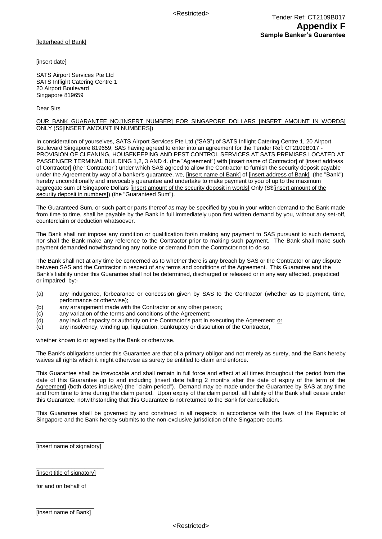[letterhead of Bank]

[insert date]

SATS Airport Services Pte Ltd SATS Inflight Catering Centre 1 20 Airport Boulevard Singapore 819659

Dear Sirs

#### OUR BANK GUARANTEE NO.[INSERT NUMBER] FOR SINGAPORE DOLLARS [INSERT AMOUNT IN WORDS] ONLY (S\$[INSERT AMOUNT IN NUMBERS])

In consideration of yourselves, SATS Airport Services Pte Ltd ("SAS") of SATS Inflight Catering Centre 1, 20 Airport Boulevard Singapore 819659, SAS having agreed to enter into an agreement for the Tender Ref: CT2109B017 -PROVISION OF CLEANING, HOUSEKEEPING AND PEST CONTROL SERVICES AT SATS PREMISES LOCATED AT PASSENGER TERMINAL BUILDING 1,2, 3 AND 4. (the "Agreement") with [insert name of Contractor] of [insert address of Contractor] (the "Contractor") under which SAS agreed to allow the Contractor to furnish the security deposit payable under the Agreement by way of a banker's guarantee, we, [insert name of Bank] of [insert address of Bank] (the "Bank") hereby unconditionally and irrevocably guarantee and undertake to make payment to you of up to the maximum aggregate sum of Singapore Dollars [insert amount of the security deposit in words] Only (S\$[insert amount of the security deposit in numbers]) (the "Guaranteed Sum").

The Guaranteed Sum, or such part or parts thereof as may be specified by you in your written demand to the Bank made from time to time, shall be payable by the Bank in full immediately upon first written demand by you, without any set-off, counterclaim or deduction whatsoever.

The Bank shall not impose any condition or qualification for/in making any payment to SAS pursuant to such demand, nor shall the Bank make any reference to the Contractor prior to making such payment. The Bank shall make such payment demanded notwithstanding any notice or demand from the Contractor not to do so.

The Bank shall not at any time be concerned as to whether there is any breach by SAS or the Contractor or any dispute between SAS and the Contractor in respect of any terms and conditions of the Agreement. This Guarantee and the Bank's liability under this Guarantee shall not be determined, discharged or released or in any way affected, prejudiced or impaired, by:-

- (a) any indulgence, forbearance or concession given by SAS to the Contractor (whether as to payment, time, performance or otherwise);
- (b) any arrangement made with the Contractor or any other person;
- (c) any variation of the terms and conditions of the Agreement;
- (d) any lack of capacity or authority on the Contractor's part in executing the Agreement; or
- (e) any insolvency, winding up, liquidation, bankruptcy or dissolution of the Contractor,

whether known to or agreed by the Bank or otherwise.

The Bank's obligations under this Guarantee are that of a primary obligor and not merely as surety, and the Bank hereby waives all rights which it might otherwise as surety be entitled to claim and enforce.

This Guarantee shall be irrevocable and shall remain in full force and effect at all times throughout the period from the date of this Guarantee up to and including [insert date falling 2 months after the date of expiry of the term of the Agreement] (both dates inclusive) (the "claim period"). Demand may be made under the Guarantee by SAS at any time and from time to time during the claim period. Upon expiry of the claim period, all liability of the Bank shall cease under this Guarantee, notwithstanding that this Guarantee is not returned to the Bank for cancellation.

This Guarantee shall be governed by and construed in all respects in accordance with the laws of the Republic of Singapore and the Bank hereby submits to the non-exclusive jurisdiction of the Singapore courts.

\_\_\_\_\_\_\_\_\_\_\_\_\_\_\_\_\_\_\_\_\_ [insert name of signatory]

#### \_\_\_\_\_\_\_\_\_\_\_\_\_\_\_\_\_\_\_\_\_ [insert title of signatory]

for and on behalf of

 $\overline{\phantom{a}}$  , where the contract of the contract of the contract of the contract of the contract of the contract of the contract of the contract of the contract of the contract of the contract of the contract of the contr [insert name of Bank]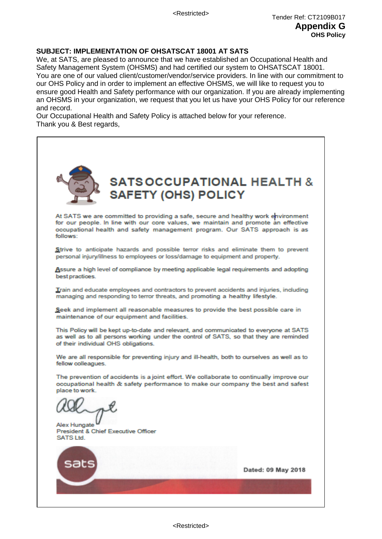# **SUBJECT: IMPLEMENTATION OF OHSATSCAT 18001 AT SATS**

We, at SATS, are pleased to announce that we have established an Occupational Health and Safety Management System (OHSMS) and had certified our system to OHSATSCAT 18001. You are one of our valued client/customer/vendor/service providers. In line with our commitment to our OHS Policy and in order to implement an effective OHSMS, we will like to request you to ensure good Health and Safety performance with our organization. If you are already implementing an OHSMS in your organization, we request that you let us have your OHS Policy for our reference and record.

Our Occupational Health and Safety Policy is attached below for your reference. Thank you & Best regards,

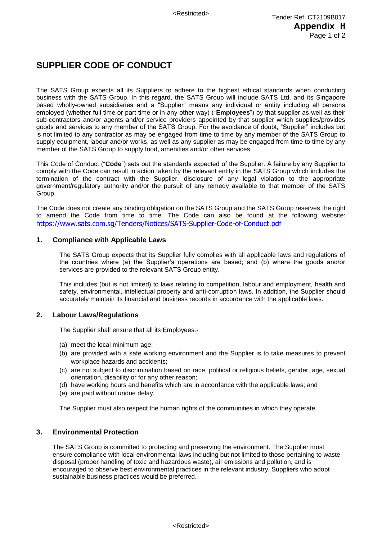# **SUPPLIER CODE OF CONDUCT**

The SATS Group expects all its Suppliers to adhere to the highest ethical standards when conducting business with the SATS Group. In this regard, the SATS Group will include SATS Ltd. and its Singapore based wholly-owned subsidiaries and a "Supplier" means any individual or entity including all persons employed (whether full time or part time or in any other way) ("**Employees**") by that supplier as well as their sub-contractors and/or agents and/or service providers appointed by that supplier which supplies/provides goods and services to any member of the SATS Group. For the avoidance of doubt, "Supplier" includes but is not limited to any contractor as may be engaged from time to time by any member of the SATS Group to supply equipment, labour and/or works, as well as any supplier as may be engaged from time to time by any member of the SATS Group to supply food, amenities and/or other services.

This Code of Conduct ("**Code**") sets out the standards expected of the Supplier. A failure by any Supplier to comply with the Code can result in action taken by the relevant entity in the SATS Group which includes the termination of the contract with the Supplier, disclosure of any legal violation to the appropriate government/regulatory authority and/or the pursuit of any remedy available to that member of the SATS Group.

The Code does not create any binding obligation on the SATS Group and the SATS Group reserves the right to amend the Code from time to time. The Code can also be found at the following website: <https://www.sats.com.sg/Tenders/Notices/SATS-Supplier-Code-of-Conduct.pdf>

#### **1. Compliance with Applicable Laws**

The SATS Group expects that its Supplier fully complies with all applicable laws and regulations of the countries where (a) the Supplier's operations are based; and (b) where the goods and/or services are provided to the relevant SATS Group entity.

This includes (but is not limited) to laws relating to competition, labour and employment, health and safety, environmental, intellectual property and anti-corruption laws. In addition, the Supplier should accurately maintain its financial and business records in accordance with the applicable laws.

#### **2. Labour Laws/Regulations**

The Supplier shall ensure that all its Employees:-

- (a) meet the local minimum age;
- (b) are provided with a safe working environment and the Supplier is to take measures to prevent workplace hazards and accidents;
- (c) are not subject to discrimination based on race, political or religious beliefs, gender, age, sexual orientation, disability or for any other reason;
- (d) have working hours and benefits which are in accordance with the applicable laws; and
- (e) are paid without undue delay.

The Supplier must also respect the human rights of the communities in which they operate.

#### **3. Environmental Protection**

The SATS Group is committed to protecting and preserving the environment. The Supplier must ensure compliance with local environmental laws including but not limited to those pertaining to waste disposal (proper handling of toxic and hazardous waste), air emissions and pollution, and is encouraged to observe best environmental practices in the relevant industry. Suppliers who adopt sustainable business practices would be preferred.